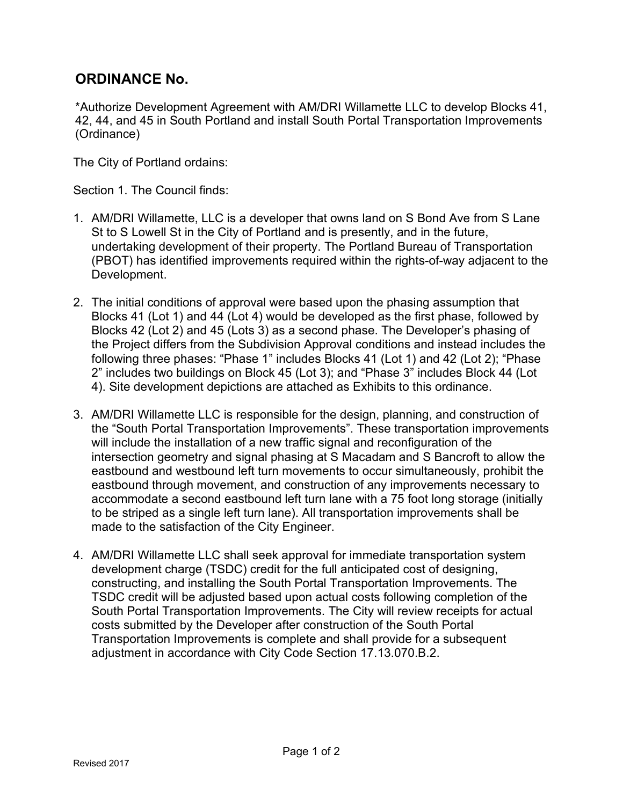# **ORDINANCE No.**

\*Authorize Development Agreement with AM/DRI Willamette LLC to develop Blocks 41, 42, 44, and 45 in South Portland and install South Portal Transportation Improvements (Ordinance)

The City of Portland ordains:

Section 1. The Council finds:

- 1. AM/DRI Willamette, LLC is a developer that owns land on S Bond Ave from S Lane St to S Lowell St in the City of Portland and is presently, and in the future, undertaking development of their property. The Portland Bureau of Transportation (PBOT) has identified improvements required within the rights-of-way adjacent to the Development.
- 2. The initial conditions of approval were based upon the phasing assumption that Blocks 41 (Lot 1) and 44 (Lot 4) would be developed as the first phase, followed by Blocks 42 (Lot 2) and 45 (Lots 3) as a second phase. The Developer's phasing of the Project differs from the Subdivision Approval conditions and instead includes the following three phases: "Phase 1" includes Blocks 41 (Lot 1) and 42 (Lot 2); "Phase 2" includes two buildings on Block 45 (Lot 3); and "Phase 3" includes Block 44 (Lot 4). Site development depictions are attached as Exhibits to this ordinance.
- 3. AM/DRI Willamette LLC is responsible for the design, planning, and construction of the "South Portal Transportation Improvements". These transportation improvements will include the installation of a new traffic signal and reconfiguration of the intersection geometry and signal phasing at S Macadam and S Bancroft to allow the eastbound and westbound left turn movements to occur simultaneously, prohibit the eastbound through movement, and construction of any improvements necessary to accommodate a second eastbound left turn lane with a 75 foot long storage (initially to be striped as a single left turn lane). All transportation improvements shall be made to the satisfaction of the City Engineer.
- 4. AM/DRI Willamette LLC shall seek approval for immediate transportation system development charge (TSDC) credit for the full anticipated cost of designing, constructing, and installing the South Portal Transportation Improvements. The TSDC credit will be adjusted based upon actual costs following completion of the South Portal Transportation Improvements. The City will review receipts for actual costs submitted by the Developer after construction of the South Portal Transportation Improvements is complete and shall provide for a subsequent adjustment in accordance with City Code Section 17.13.070.B.2.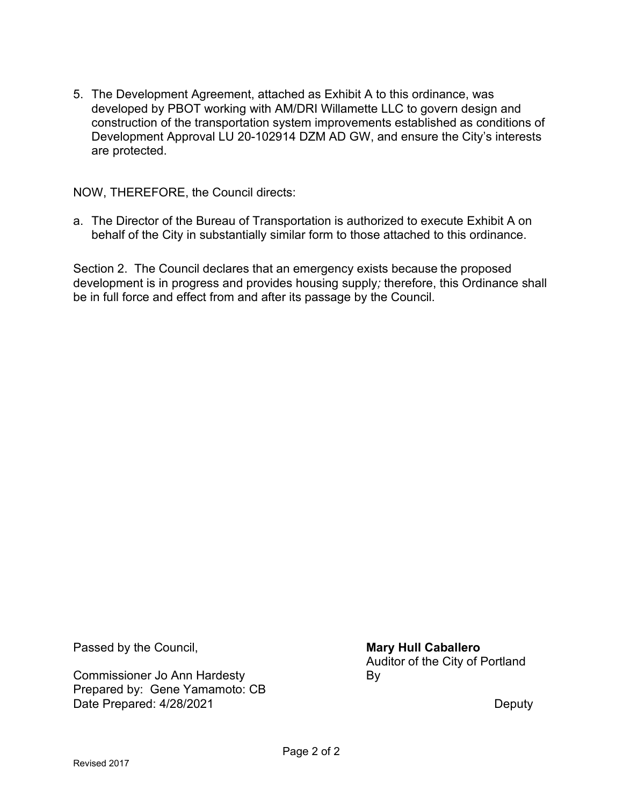5. The Development Agreement, attached as Exhibit A to this ordinance, was developed by PBOT working with AM/DRI Willamette LLC to govern design and construction of the transportation system improvements established as conditions of Development Approval LU 20-102914 DZM AD GW, and ensure the City's interests are protected.

NOW, THEREFORE, the Council directs:

a. The Director of the Bureau of Transportation is authorized to execute Exhibit A on behalf of the City in substantially similar form to those attached to this ordinance.

Section 2. The Council declares that an emergency exists because the proposed development is in progress and provides housing supply*;* therefore, this Ordinance shall be in full force and effect from and after its passage by the Council.

Passed by the Council, **Mary Hull Caballero Mary Hull Caballero** 

Commissioner Jo Ann Hardesty **By** Prepared by: Gene Yamamoto: CB Date Prepared: 4/28/2021 Deputy

Auditor of the City of Portland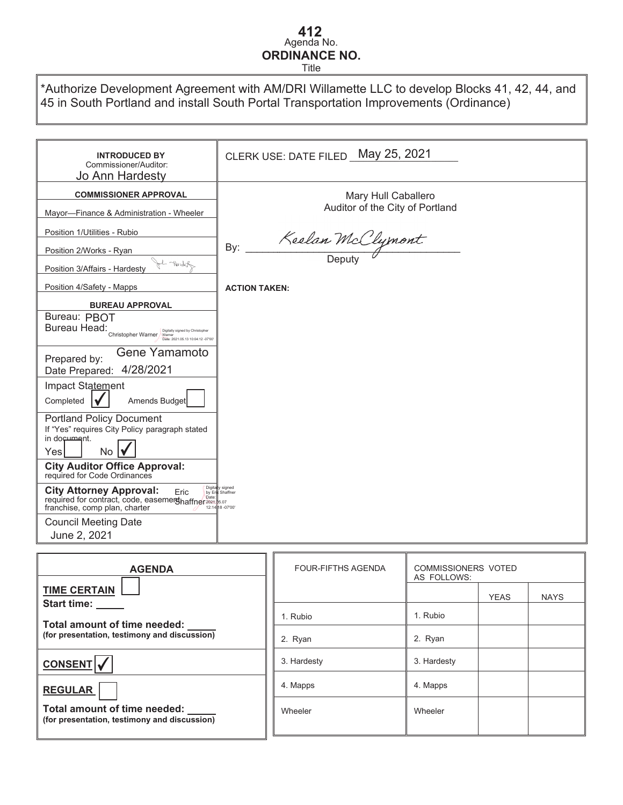# Agenda No. **412ORDINANCE NO.**

Title

\*Authorize Development Agreement with AM/DRI Willamette LLC to develop Blocks 41, 42, 44, and 45 in South Portland and install South Portal Transportation Improvements (Ordinance)

| <b>INTRODUCED BY</b><br>Commissioner/Auditor:<br>Jo Ann Hardesty                                                                                     | CLERK USE: DATE FILED May 25, 2021     |
|------------------------------------------------------------------------------------------------------------------------------------------------------|----------------------------------------|
| <b>COMMISSIONER APPROVAL</b>                                                                                                                         | Mary Hull Caballero                    |
| Mayor-Finance & Administration - Wheeler                                                                                                             | Auditor of the City of Portland        |
| Position 1/Utilities - Rubio                                                                                                                         |                                        |
| Position 2/Works - Ryan                                                                                                                              | Keelan McClymont<br>By:                |
| 1 Nordet<br>Position 3/Affairs - Hardesty                                                                                                            |                                        |
| Position 4/Safety - Mapps                                                                                                                            | <b>ACTION TAKEN:</b>                   |
| <b>BUREAU APPROVAL</b>                                                                                                                               |                                        |
| Bureau: PBOT<br>Bureau Head:<br>Digitally signed by Christopher<br>Christopher Warner<br>Date: 2021.05.13 10:04:12 -07'00                            |                                        |
| Gene Yamamoto<br>Prepared by:<br>4/28/2021<br>Date Prepared:                                                                                         |                                        |
| Impact Statement<br>Amends Budget<br>Completed                                                                                                       |                                        |
| <b>Portland Policy Document</b><br>If "Yes" requires City Policy paragraph stated<br>in document.<br>No<br>Yesl                                      |                                        |
| <b>City Auditor Office Approval:</b><br>required for Code Ordinances                                                                                 |                                        |
| Digita<br><b>City Attorney Approval:</b><br>Eric<br>by Er<br>required for contract, code, easemerghaffner2021.85.07<br>franchise, comp plan, charter | signed<br>Shaffner<br>12:14 18 -07'00' |
| <b>Council Meeting Date</b><br>June 2, 2021                                                                                                          |                                        |

| <b>AGENDA</b>                                                                | <b>FOUR-FIFTHS AGENDA</b> | <b>COMMISSIONERS VOTED</b><br>AS FOLLOWS: |             |             |
|------------------------------------------------------------------------------|---------------------------|-------------------------------------------|-------------|-------------|
| <b>TIME CERTAIN</b><br>Start time: _____                                     |                           |                                           | <b>YEAS</b> | <b>NAYS</b> |
| Total amount of time needed:<br>(for presentation, testimony and discussion) | 1. Rubio                  | 1. Rubio                                  |             |             |
|                                                                              | 2. Ryan                   | 2. Ryan                                   |             |             |
| <b>CONSENT</b>                                                               | 3. Hardesty               | 3. Hardesty                               |             |             |
| <b>REGULAR</b>                                                               | 4. Mapps                  | 4. Mapps                                  |             |             |
| Total amount of time needed:<br>(for presentation, testimony and discussion) | Wheeler                   | Wheeler                                   |             |             |
|                                                                              |                           |                                           |             |             |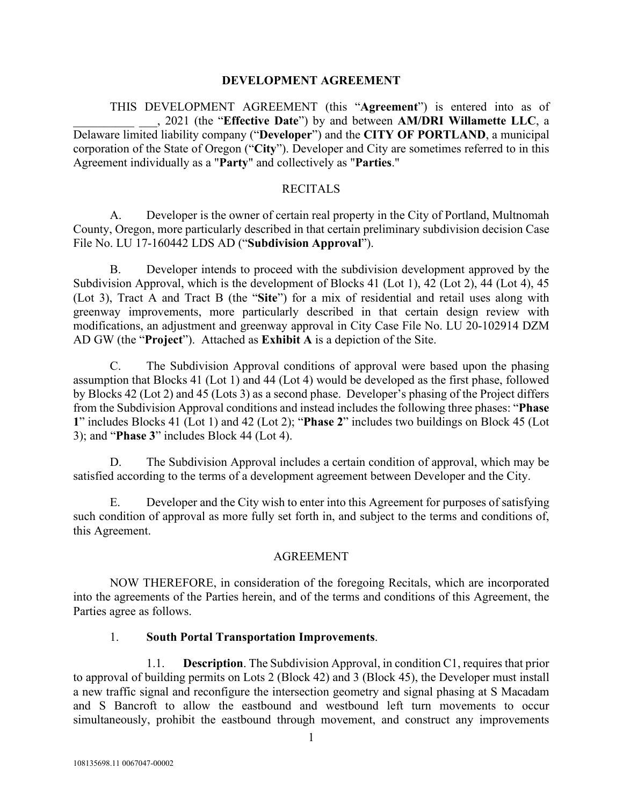#### **DEVELOPMENT AGREEMENT**

THIS DEVELOPMENT AGREEMENT (this "**Agreement**") is entered into as of \_\_\_\_\_\_\_\_\_\_ \_\_\_, 2021 (the "**Effective Date**") by and between **AM/DRI Willamette LLC**, a Delaware limited liability company ("**Developer**") and the **CITY OF PORTLAND**, a municipal corporation of the State of Oregon ("**City**"). Developer and City are sometimes referred to in this Agreement individually as a "**Party**" and collectively as "**Parties**."

#### **RECITALS**

A. Developer is the owner of certain real property in the City of Portland, Multnomah County, Oregon, more particularly described in that certain preliminary subdivision decision Case File No. LU 17-160442 LDS AD ("**Subdivision Approval**").

B. Developer intends to proceed with the subdivision development approved by the Subdivision Approval, which is the development of Blocks 41 (Lot 1), 42 (Lot 2), 44 (Lot 4), 45 (Lot 3), Tract A and Tract B (the "**Site**") for a mix of residential and retail uses along with greenway improvements, more particularly described in that certain design review with modifications, an adjustment and greenway approval in City Case File No. LU 20-102914 DZM AD GW (the "**Project**"). Attached as **Exhibit A** is a depiction of the Site.

C. The Subdivision Approval conditions of approval were based upon the phasing assumption that Blocks 41 (Lot 1) and 44 (Lot 4) would be developed as the first phase, followed by Blocks 42 (Lot 2) and 45 (Lots 3) as a second phase. Developer's phasing of the Project differs from the Subdivision Approval conditions and instead includes the following three phases: "**Phase 1**" includes Blocks 41 (Lot 1) and 42 (Lot 2); "**Phase 2**" includes two buildings on Block 45 (Lot 3); and "**Phase 3**" includes Block 44 (Lot 4).

D. The Subdivision Approval includes a certain condition of approval, which may be satisfied according to the terms of a development agreement between Developer and the City.

E. Developer and the City wish to enter into this Agreement for purposes of satisfying such condition of approval as more fully set forth in, and subject to the terms and conditions of, this Agreement.

#### AGREEMENT

NOW THEREFORE, in consideration of the foregoing Recitals, which are incorporated into the agreements of the Parties herein, and of the terms and conditions of this Agreement, the Parties agree as follows.

#### 1. **South Portal Transportation Improvements**.

1.1. **Description**. The Subdivision Approval, in condition C1, requires that prior to approval of building permits on Lots 2 (Block 42) and 3 (Block 45), the Developer must install a new traffic signal and reconfigure the intersection geometry and signal phasing at S Macadam and S Bancroft to allow the eastbound and westbound left turn movements to occur simultaneously, prohibit the eastbound through movement, and construct any improvements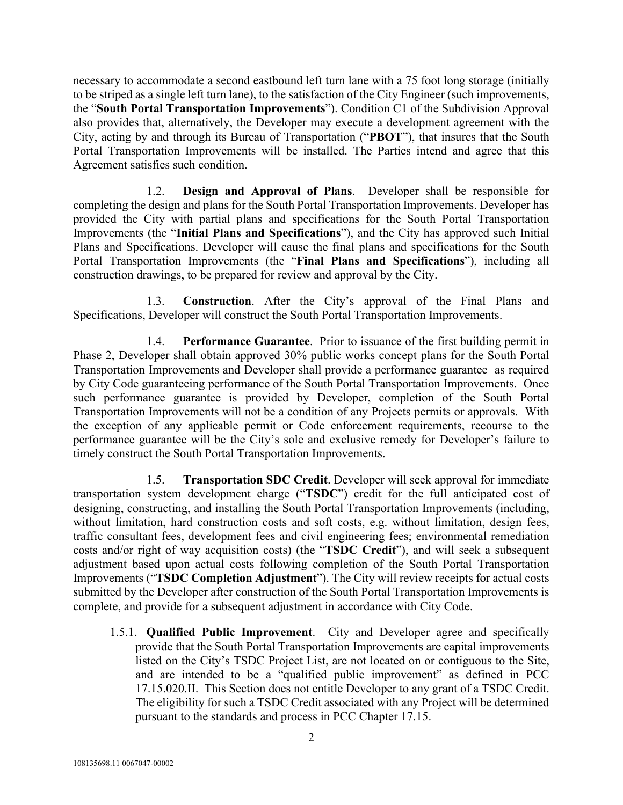necessary to accommodate a second eastbound left turn lane with a 75 foot long storage (initially to be striped as a single left turn lane), to the satisfaction of the City Engineer (such improvements, the "**South Portal Transportation Improvements**"). Condition C1 of the Subdivision Approval also provides that, alternatively, the Developer may execute a development agreement with the City, acting by and through its Bureau of Transportation ("**PBOT**"), that insures that the South Portal Transportation Improvements will be installed. The Parties intend and agree that this Agreement satisfies such condition.

1.2. **Design and Approval of Plans**. Developer shall be responsible for completing the design and plans for the South Portal Transportation Improvements. Developer has provided the City with partial plans and specifications for the South Portal Transportation Improvements (the "**Initial Plans and Specifications**"), and the City has approved such Initial Plans and Specifications. Developer will cause the final plans and specifications for the South Portal Transportation Improvements (the "**Final Plans and Specifications**"), including all construction drawings, to be prepared for review and approval by the City.

1.3. **Construction**. After the City's approval of the Final Plans and Specifications, Developer will construct the South Portal Transportation Improvements.

1.4. **Performance Guarantee**. Prior to issuance of the first building permit in Phase 2, Developer shall obtain approved 30% public works concept plans for the South Portal Transportation Improvements and Developer shall provide a performance guarantee as required by City Code guaranteeing performance of the South Portal Transportation Improvements. Once such performance guarantee is provided by Developer, completion of the South Portal Transportation Improvements will not be a condition of any Projects permits or approvals. With the exception of any applicable permit or Code enforcement requirements, recourse to the performance guarantee will be the City's sole and exclusive remedy for Developer's failure to timely construct the South Portal Transportation Improvements.

1.5. **Transportation SDC Credit**. Developer will seek approval for immediate transportation system development charge ("**TSDC**") credit for the full anticipated cost of designing, constructing, and installing the South Portal Transportation Improvements (including, without limitation, hard construction costs and soft costs, e.g. without limitation, design fees, traffic consultant fees, development fees and civil engineering fees; environmental remediation costs and/or right of way acquisition costs) (the "**TSDC Credit**"), and will seek a subsequent adjustment based upon actual costs following completion of the South Portal Transportation Improvements ("**TSDC Completion Adjustment**"). The City will review receipts for actual costs submitted by the Developer after construction of the South Portal Transportation Improvements is complete, and provide for a subsequent adjustment in accordance with City Code.

1.5.1. **Qualified Public Improvement**. City and Developer agree and specifically provide that the South Portal Transportation Improvements are capital improvements listed on the City's TSDC Project List, are not located on or contiguous to the Site, and are intended to be a "qualified public improvement" as defined in PCC 17.15.020.II. This Section does not entitle Developer to any grant of a TSDC Credit. The eligibility for such a TSDC Credit associated with any Project will be determined pursuant to the standards and process in PCC Chapter 17.15.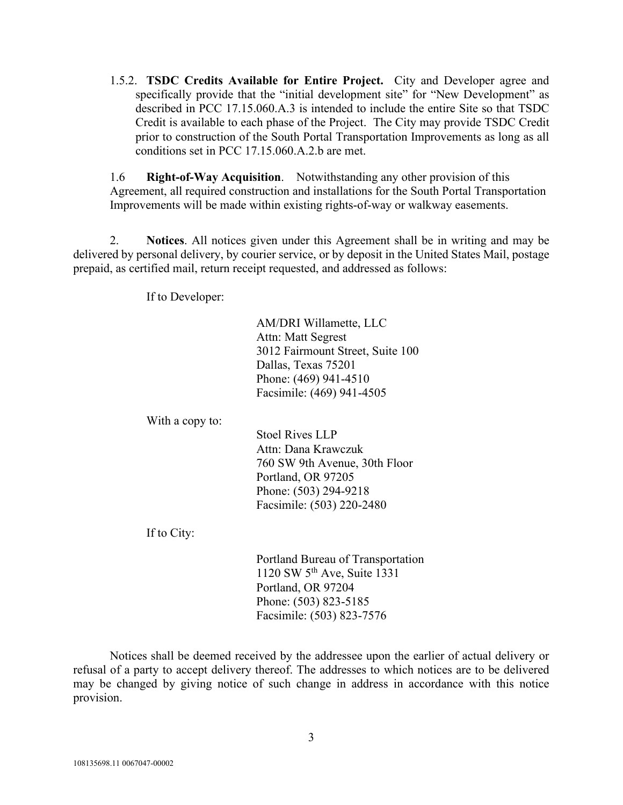1.5.2. **TSDC Credits Available for Entire Project.** City and Developer agree and specifically provide that the "initial development site" for "New Development" as described in PCC 17.15.060.A.3 is intended to include the entire Site so that TSDC Credit is available to each phase of the Project. The City may provide TSDC Credit prior to construction of the South Portal Transportation Improvements as long as all conditions set in PCC 17.15.060.A.2.b are met.

1.6 **Right-of-Way Acquisition**. Notwithstanding any other provision of this Agreement, all required construction and installations for the South Portal Transportation Improvements will be made within existing rights-of-way or walkway easements.

2. **Notices**. All notices given under this Agreement shall be in writing and may be delivered by personal delivery, by courier service, or by deposit in the United States Mail, postage prepaid, as certified mail, return receipt requested, and addressed as follows:

If to Developer:

AM/DRI Willamette, LLC Attn: Matt Segrest 3012 Fairmount Street, Suite 100 Dallas, Texas 75201 Phone: (469) 941-4510 Facsimile: (469) 941-4505

With a copy to:

Stoel Rives LLP Attn: Dana Krawczuk 760 SW 9th Avenue, 30th Floor Portland, OR 97205 Phone: (503) 294-9218 Facsimile: (503) 220-2480

If to City:

Portland Bureau of Transportation 1120 SW 5th Ave, Suite 1331 Portland, OR 97204 Phone: (503) 823-5185 Facsimile: (503) 823-7576

Notices shall be deemed received by the addressee upon the earlier of actual delivery or refusal of a party to accept delivery thereof. The addresses to which notices are to be delivered may be changed by giving notice of such change in address in accordance with this notice provision.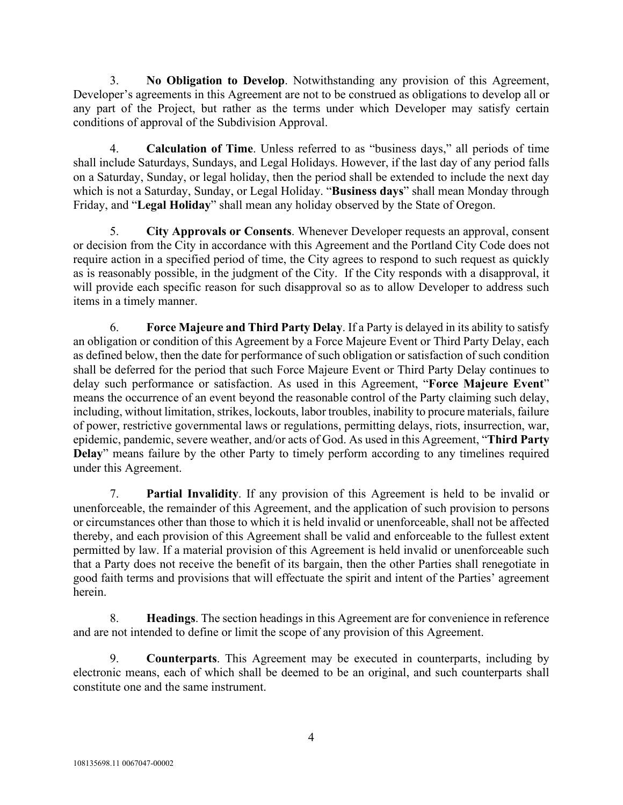3. **No Obligation to Develop**. Notwithstanding any provision of this Agreement, Developer's agreements in this Agreement are not to be construed as obligations to develop all or any part of the Project, but rather as the terms under which Developer may satisfy certain conditions of approval of the Subdivision Approval.

4. **Calculation of Time**. Unless referred to as "business days," all periods of time shall include Saturdays, Sundays, and Legal Holidays. However, if the last day of any period falls on a Saturday, Sunday, or legal holiday, then the period shall be extended to include the next day which is not a Saturday, Sunday, or Legal Holiday. "**Business days**" shall mean Monday through Friday, and "**Legal Holiday**" shall mean any holiday observed by the State of Oregon.

5. **City Approvals or Consents**. Whenever Developer requests an approval, consent or decision from the City in accordance with this Agreement and the Portland City Code does not require action in a specified period of time, the City agrees to respond to such request as quickly as is reasonably possible, in the judgment of the City. If the City responds with a disapproval, it will provide each specific reason for such disapproval so as to allow Developer to address such items in a timely manner.

6. **Force Majeure and Third Party Delay**. If a Party is delayed in its ability to satisfy an obligation or condition of this Agreement by a Force Majeure Event or Third Party Delay, each as defined below, then the date for performance of such obligation or satisfaction of such condition shall be deferred for the period that such Force Majeure Event or Third Party Delay continues to delay such performance or satisfaction. As used in this Agreement, "**Force Majeure Event**" means the occurrence of an event beyond the reasonable control of the Party claiming such delay, including, without limitation, strikes, lockouts, labor troubles, inability to procure materials, failure of power, restrictive governmental laws or regulations, permitting delays, riots, insurrection, war, epidemic, pandemic, severe weather, and/or acts of God. As used in this Agreement, "**Third Party Delay**" means failure by the other Party to timely perform according to any timelines required under this Agreement.

7. **Partial Invalidity**. If any provision of this Agreement is held to be invalid or unenforceable, the remainder of this Agreement, and the application of such provision to persons or circumstances other than those to which it is held invalid or unenforceable, shall not be affected thereby, and each provision of this Agreement shall be valid and enforceable to the fullest extent permitted by law. If a material provision of this Agreement is held invalid or unenforceable such that a Party does not receive the benefit of its bargain, then the other Parties shall renegotiate in good faith terms and provisions that will effectuate the spirit and intent of the Parties' agreement herein.

8. **Headings**. The section headings in this Agreement are for convenience in reference and are not intended to define or limit the scope of any provision of this Agreement.

9. **Counterparts**. This Agreement may be executed in counterparts, including by electronic means, each of which shall be deemed to be an original, and such counterparts shall constitute one and the same instrument.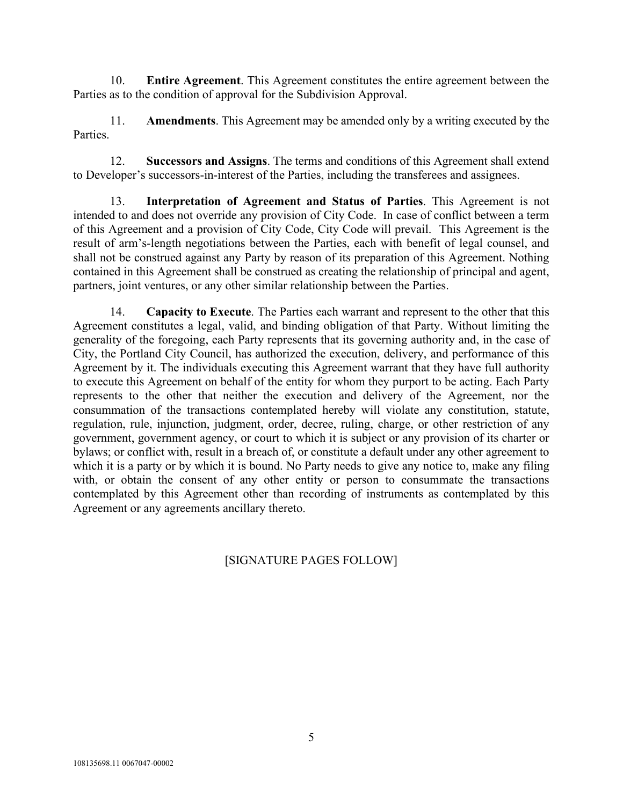10. **Entire Agreement**. This Agreement constitutes the entire agreement between the Parties as to the condition of approval for the Subdivision Approval.

11. **Amendments**. This Agreement may be amended only by a writing executed by the Parties.

12. **Successors and Assigns**. The terms and conditions of this Agreement shall extend to Developer's successors-in-interest of the Parties, including the transferees and assignees.

13. **Interpretation of Agreement and Status of Parties**. This Agreement is not intended to and does not override any provision of City Code. In case of conflict between a term of this Agreement and a provision of City Code, City Code will prevail. This Agreement is the result of arm's-length negotiations between the Parties, each with benefit of legal counsel, and shall not be construed against any Party by reason of its preparation of this Agreement. Nothing contained in this Agreement shall be construed as creating the relationship of principal and agent, partners, joint ventures, or any other similar relationship between the Parties.

14. **Capacity to Execute**. The Parties each warrant and represent to the other that this Agreement constitutes a legal, valid, and binding obligation of that Party. Without limiting the generality of the foregoing, each Party represents that its governing authority and, in the case of City, the Portland City Council, has authorized the execution, delivery, and performance of this Agreement by it. The individuals executing this Agreement warrant that they have full authority to execute this Agreement on behalf of the entity for whom they purport to be acting. Each Party represents to the other that neither the execution and delivery of the Agreement, nor the consummation of the transactions contemplated hereby will violate any constitution, statute, regulation, rule, injunction, judgment, order, decree, ruling, charge, or other restriction of any government, government agency, or court to which it is subject or any provision of its charter or bylaws; or conflict with, result in a breach of, or constitute a default under any other agreement to which it is a party or by which it is bound. No Party needs to give any notice to, make any filing with, or obtain the consent of any other entity or person to consummate the transactions contemplated by this Agreement other than recording of instruments as contemplated by this Agreement or any agreements ancillary thereto.

# [SIGNATURE PAGES FOLLOW]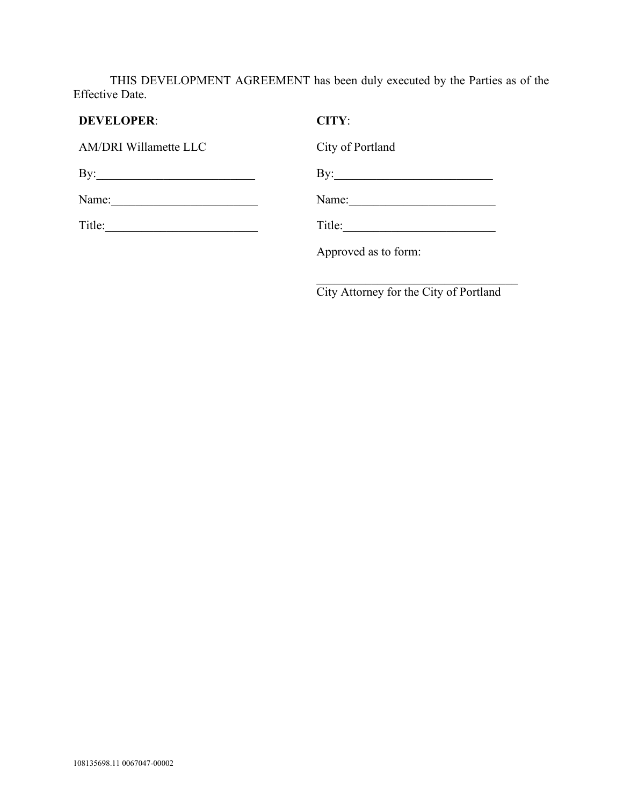THIS DEVELOPMENT AGREEMENT has been duly executed by the Parties as of the Effective Date.

| <b>DEVELOPER:</b>            | CITY:                |
|------------------------------|----------------------|
| <b>AM/DRI Willamette LLC</b> | City of Portland     |
| By: $\qquad \qquad$          | By:                  |
| Name:                        | Name:                |
| Title:                       | Title:               |
|                              | Approved as to form: |
|                              |                      |

City Attorney for the City of Portland

 $\mathcal{L}$  , which is a set of the set of the set of the set of the set of the set of the set of the set of the set of the set of the set of the set of the set of the set of the set of the set of the set of the set of the s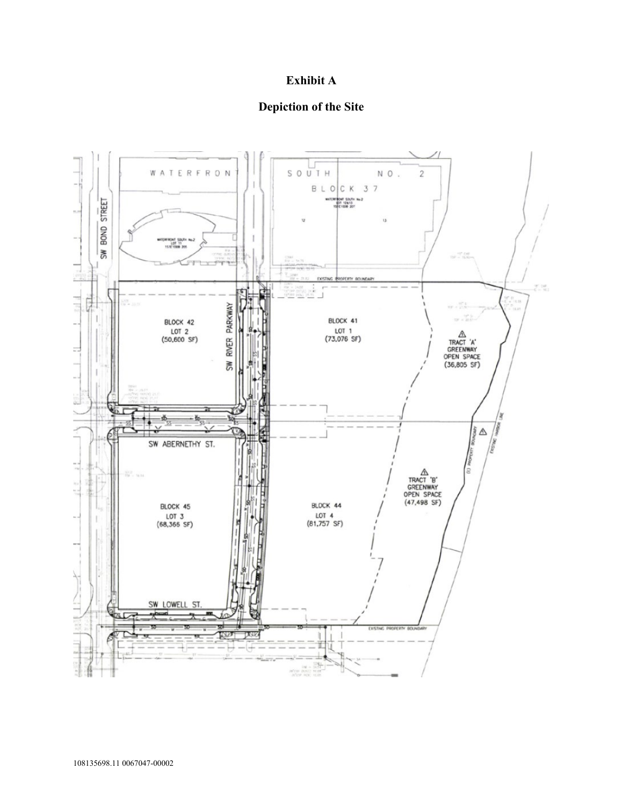# **Exhibit A**

#### **Depiction of the Site**